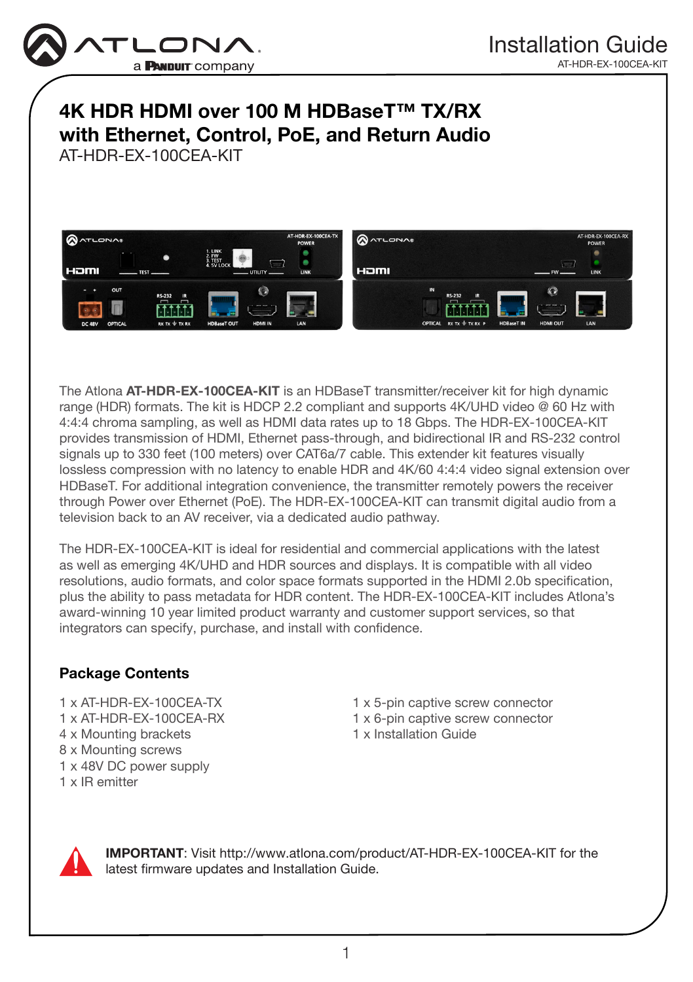

# 4K HDR HDMI over 100 M HDBaseT™ TX/RX with Ethernet, Control, PoE, and Return Audio

AT-HDR-EX-100CEA-KIT



The Atlona AT-HDR-EX-100CEA-KIT is an HDBaseT transmitter/receiver kit for high dynamic range (HDR) formats. The kit is HDCP 2.2 compliant and supports 4K/UHD video @ 60 Hz with 4:4:4 chroma sampling, as well as HDMI data rates up to 18 Gbps. The HDR-EX-100CEA-KIT provides transmission of HDMI, Ethernet pass-through, and bidirectional IR and RS-232 control signals up to 330 feet (100 meters) over CAT6a/7 cable. This extender kit features visually lossless compression with no latency to enable HDR and 4K/60 4:4:4 video signal extension over HDBaseT. For additional integration convenience, the transmitter remotely powers the receiver through Power over Ethernet (PoE). The HDR-EX-100CEA-KIT can transmit digital audio from a television back to an AV receiver, via a dedicated audio pathway.

The HDR-EX-100CEA-KIT is ideal for residential and commercial applications with the latest as well as emerging 4K/UHD and HDR sources and displays. It is compatible with all video resolutions, audio formats, and color space formats supported in the HDMI 2.0b specification, plus the ability to pass metadata for HDR content. The HDR-EX-100CEA-KIT includes Atlona's award-winning 10 year limited product warranty and customer support services, so that integrators can specify, purchase, and install with confidence.

# Package Contents

1 x AT-HDR-EX-100CEA-TX 1 x AT-HDR-EX-100CEA-RX 4 x Mounting brackets 8 x Mounting screws 1 x 48V DC power supply 1 x IR emitter

1 x 5-pin captive screw connector 1 x 6-pin captive screw connector 1 x Installation Guide



IMPORTANT: Visit http://www.atlona.com/product/AT-HDR-EX-100CEA-KIT for the latest firmware updates and Installation Guide.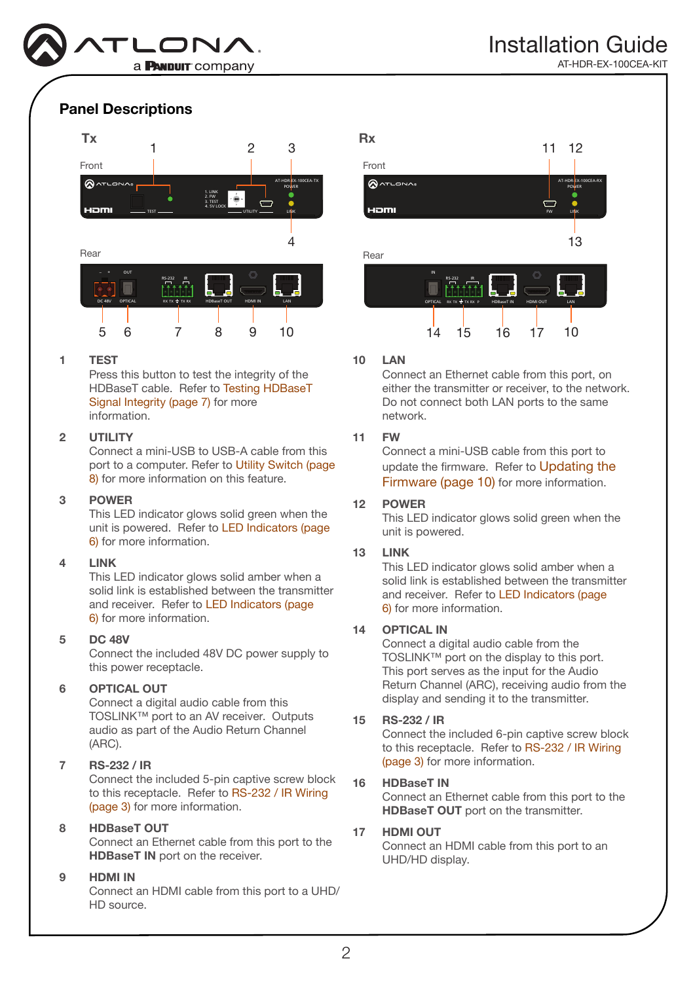

## Panel Descriptions



### 1 TEST

Press this button to test the integrity of the HDBaseT cable. Refer to [Testing HDBaseT](#page-6-0)  [Signal Integrity \(page 7\)](#page-6-0) for more information.

#### 2 UTILITY

Connect a mini-USB to USB-A cable from this port to a computer. Refer to [Utility Switch \(page](#page-7-0)  [8\)](#page-7-0) for more information on this feature.

#### 3 POWER

This LED indicator glows solid green when the unit is powered. Refer to [LED Indicators \(page](#page-5-0)  [6\)](#page-5-0) for more information.

#### 4 LINK

This LED indicator glows solid amber when a solid link is established between the transmitter and receiver. Refer to [LED Indicators \(page](#page-5-0)  [6\)](#page-5-0) for more information.

#### 5 DC 48V

Connect the included 48V DC power supply to this power receptacle.

### 6 OPTICAL OUT

Connect a digital audio cable from this TOSLINK™ port to an AV receiver. Outputs audio as part of the Audio Return Channel (ARC).

### 7 RS-232 / IR

Connect the included 5-pin captive screw block to this receptacle. Refer to [RS-232 / IR Wiring](#page-2-0)  [\(page 3\)](#page-2-0) for more information.

### 8 HDBaseT OUT

Connect an Ethernet cable from this port to the HDBaseT IN port on the receiver.

#### 9 HDMI IN

Connect an HDMI cable from this port to a UHD/ HD source.



#### 10 LAN

Connect an Ethernet cable from this port, on either the transmitter or receiver, to the network. Do not connect both LAN ports to the same network.

### 11 FW

Connect a mini-USB cable from this port to update the firmware. Refer to [Updating the](#page-9-0)  [Firmware \(page 10\)](#page-9-0) for more information.

### 12 POWER

This LED indicator glows solid green when the unit is powered.

### 13 LINK

This LED indicator glows solid amber when a solid link is established between the transmitter and receiver. Refer to [LED Indicators \(page](#page-5-0)  [6\)](#page-5-0) for more information.

#### 14 OPTICAL IN

Connect a digital audio cable from the TOSLINK™ port on the display to this port. This port serves as the input for the Audio Return Channel (ARC), receiving audio from the display and sending it to the transmitter.

#### 15 RS-232 / IR

Connect the included 6-pin captive screw block to this receptacle. Refer to [RS-232 / IR Wiring](#page-2-0)  [\(page 3\)](#page-2-0) for more information.

#### 16 HDBaseT IN

Connect an Ethernet cable from this port to the HDBaseT OUT port on the transmitter.

#### 17 HDMI OUT

Connect an HDMI cable from this port to an UHD/HD display.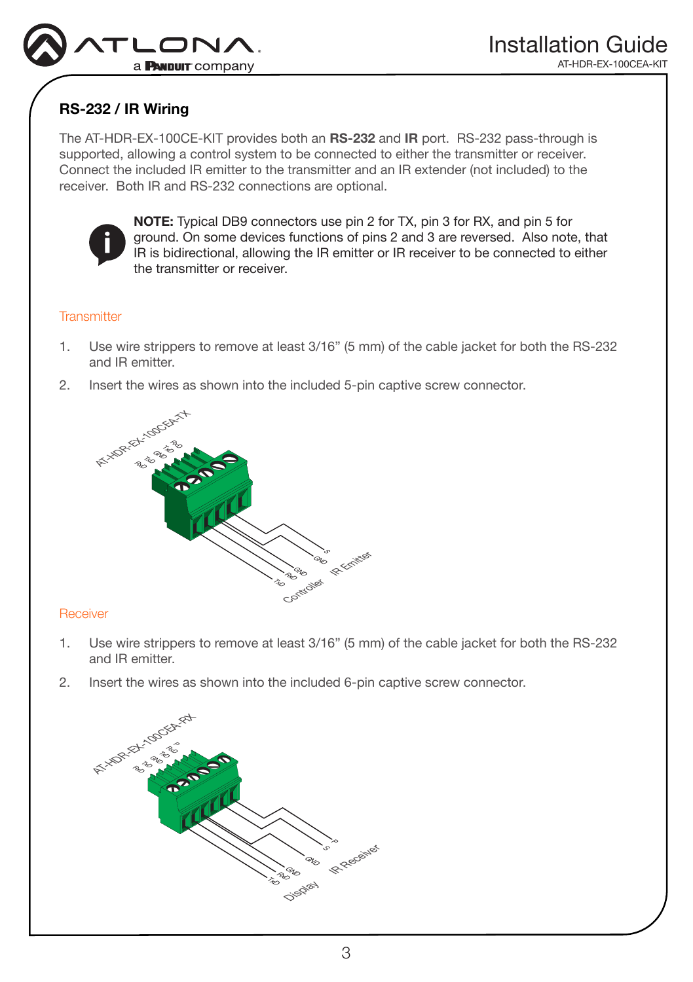

# <span id="page-2-0"></span>RS-232 / IR Wiring

The AT-HDR-EX-100CE-KIT provides both an RS-232 and IR port. RS-232 pass-through is supported, allowing a control system to be connected to either the transmitter or receiver. Connect the included IR emitter to the transmitter and an IR extender (not included) to the receiver. Both IR and RS-232 connections are optional.



NOTE: Typical DB9 connectors use pin 2 for TX, pin 3 for RX, and pin 5 for ground. On some devices functions of pins 2 and 3 are reversed. Also note, that IR is bidirectional, allowing the IR emitter or IR receiver to be connected to either the transmitter or receiver.

### **Transmitter**

- 1. Use wire strippers to remove at least 3/16" (5 mm) of the cable jacket for both the RS-232 and IR emitter.
- 2. Insert the wires as shown into the included 5-pin captive screw connector.



### **Receiver**

- 1. Use wire strippers to remove at least 3/16" (5 mm) of the cable jacket for both the RS-232 and IR emitter.
- 2. Insert the wires as shown into the included 6-pin captive screw connector.

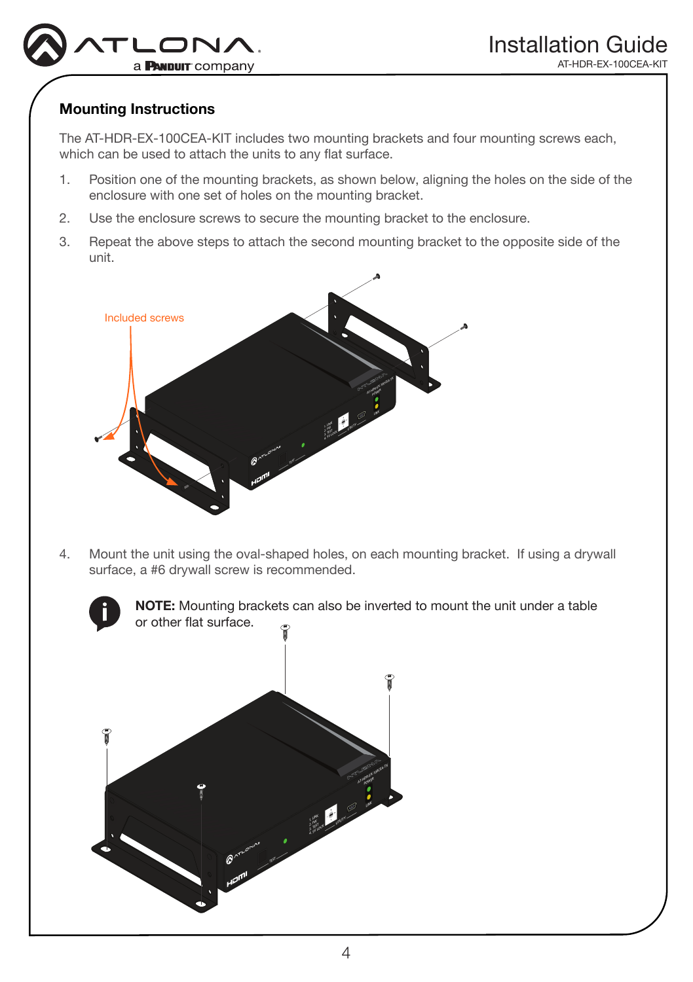

# Mounting Instructions

The AT-HDR-EX-100CEA-KIT includes two mounting brackets and four mounting screws each, which can be used to attach the units to any flat surface.

- 1. Position one of the mounting brackets, as shown below, aligning the holes on the side of the enclosure with one set of holes on the mounting bracket.
- 2. Use the enclosure screws to secure the mounting bracket to the enclosure.
- 3. Repeat the above steps to attach the second mounting bracket to the opposite side of the unit.



4. Mount the unit using the oval-shaped holes, on each mounting bracket. If using a drywall surface, a #6 drywall screw is recommended.

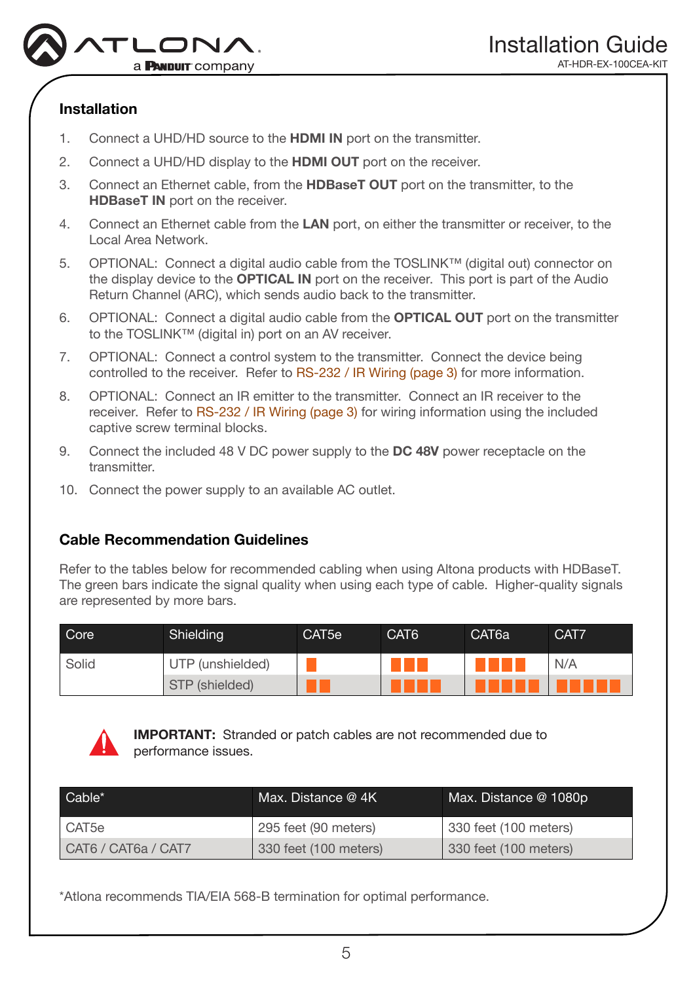

# Installation

- 1. Connect a UHD/HD source to the HDMI IN port on the transmitter.
- 2. Connect a UHD/HD display to the **HDMI OUT** port on the receiver.
- 3. Connect an Ethernet cable, from the HDBaseT OUT port on the transmitter, to the HDBaseT IN port on the receiver.
- 4. Connect an Ethernet cable from the LAN port, on either the transmitter or receiver, to the Local Area Network.
- 5. OPTIONAL: Connect a digital audio cable from the TOSLINK™ (digital out) connector on the display device to the OPTICAL IN port on the receiver. This port is part of the Audio Return Channel (ARC), which sends audio back to the transmitter.
- 6. OPTIONAL: Connect a digital audio cable from the OPTICAL OUT port on the transmitter to the TOSLINK™ (digital in) port on an AV receiver.
- 7. OPTIONAL: Connect a control system to the transmitter. Connect the device being controlled to the receiver. Refer to [RS-232 / IR Wiring \(page 3\)](#page-2-0) for more information.
- 8. OPTIONAL: Connect an IR emitter to the transmitter. Connect an IR receiver to the receiver. Refer to [RS-232 / IR Wiring \(page 3\)](#page-2-0) for wiring information using the included captive screw terminal blocks.
- 9. Connect the included 48 V DC power supply to the DC 48V power receptacle on the transmitter.
- 10. Connect the power supply to an available AC outlet.

# Cable Recommendation Guidelines

Refer to the tables below for recommended cabling when using Altona products with HDBaseT. The green bars indicate the signal quality when using each type of cable. Higher-quality signals are represented by more bars.

| Core  | Shielding        | CAT5e | CAT <sub>6</sub> | CAT <sub>6a</sub> | CAT7 |
|-------|------------------|-------|------------------|-------------------|------|
| Solid | UTP (unshielded) |       |                  |                   | N/A  |
|       | STP (shielded)   |       |                  |                   |      |



IMPORTANT: Stranded or patch cables are not recommended due to performance issues.

| Cable*              | Max. Distance $@$ 4K  | Max. Distance @ 1080p. |
|---------------------|-----------------------|------------------------|
| l CAT5e             | 295 feet (90 meters)  | 330 feet (100 meters)  |
| CAT6 / CAT6a / CAT7 | 330 feet (100 meters) | 330 feet (100 meters)  |

\*Atlona recommends TIA/EIA 568-B termination for optimal performance.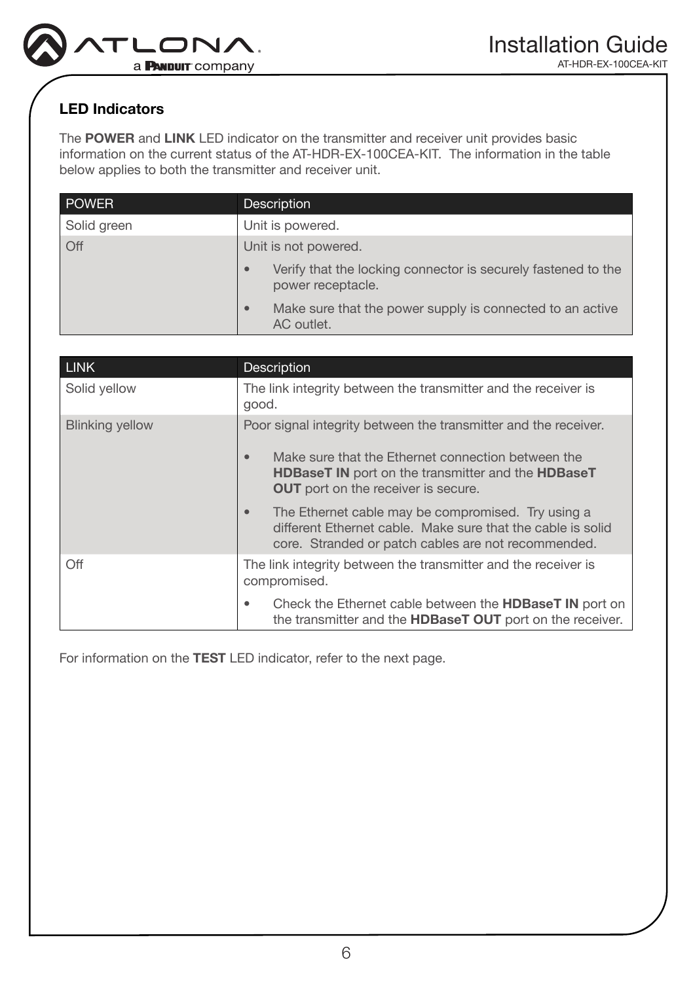

# <span id="page-5-0"></span>LED Indicators

The POWER and LINK LED indicator on the transmitter and receiver unit provides basic information on the current status of the AT-HDR-EX-100CEA-KIT. The information in the table below applies to both the transmitter and receiver unit.

| <b>POWER</b> | <b>Description</b>                                                                              |
|--------------|-------------------------------------------------------------------------------------------------|
| Solid green  | Unit is powered.                                                                                |
| Off          | Unit is not powered.                                                                            |
|              | Verify that the locking connector is securely fastened to the<br>$\bullet$<br>power receptacle. |
|              | Make sure that the power supply is connected to an active<br>$\bullet$<br>AC outlet.            |

| <b>LINK</b>            | <b>Description</b>                                                                                                                                                                                                                                   |
|------------------------|------------------------------------------------------------------------------------------------------------------------------------------------------------------------------------------------------------------------------------------------------|
| Solid yellow           | The link integrity between the transmitter and the receiver is<br>good.                                                                                                                                                                              |
| <b>Blinking yellow</b> | Poor signal integrity between the transmitter and the receiver.<br>Make sure that the Ethernet connection between the<br>$\bullet$<br><b>HDBaseT IN</b> port on the transmitter and the <b>HDBaseT</b><br><b>OUT</b> port on the receiver is secure. |
|                        | The Ethernet cable may be compromised. Try using a<br>different Ethernet cable. Make sure that the cable is solid<br>core. Stranded or patch cables are not recommended.                                                                             |
| Off                    | The link integrity between the transmitter and the receiver is<br>compromised.                                                                                                                                                                       |
|                        | Check the Ethernet cable between the <b>HDBaseT IN</b> port on<br>٠<br>the transmitter and the HDBaseT OUT port on the receiver.                                                                                                                     |

For information on the TEST LED indicator, refer to the next page.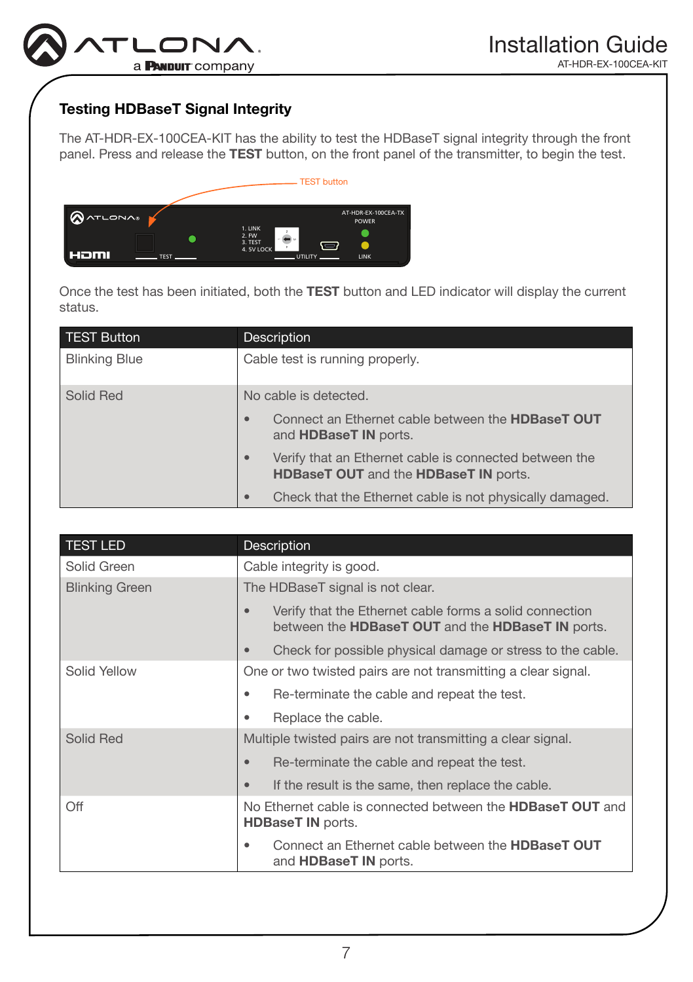

# <span id="page-6-0"></span>Testing HDBaseT Signal Integrity

The AT-HDR-EX-100CEA-KIT has the ability to test the HDBaseT signal integrity through the front panel. Press and release the TEST button, on the front panel of the transmitter, to begin the test.



Once the test has been initiated, both the TEST button and LED indicator will display the current status.  $\sim$   $\sim$ 

| TEST Button          | Description                                                                                                                |  |
|----------------------|----------------------------------------------------------------------------------------------------------------------------|--|
| <b>Blinking Blue</b> | Cable test is running properly.                                                                                            |  |
| Solid Red            | No cable is detected.                                                                                                      |  |
|                      | Connect an Ethernet cable between the <b>HDBaseT OUT</b><br>$\bullet$<br>and <b>HDBaseT IN</b> ports.                      |  |
|                      | Verify that an Ethernet cable is connected between the<br>$\bullet$<br><b>HDBaseT OUT</b> and the <b>HDBaseT IN</b> ports. |  |
|                      | Check that the Ethernet cable is not physically damaged.<br>$\bullet$                                                      |  |

| <b>TEST LED</b>       | Description                                                                                                               |
|-----------------------|---------------------------------------------------------------------------------------------------------------------------|
| Solid Green           | Cable integrity is good.                                                                                                  |
| <b>Blinking Green</b> | The HDBaseT signal is not clear.                                                                                          |
|                       | Verify that the Ethernet cable forms a solid connection<br>$\bullet$<br>between the HDBaseT OUT and the HDBaseT IN ports. |
|                       | Check for possible physical damage or stress to the cable.<br>$\bullet$                                                   |
| Solid Yellow          | One or two twisted pairs are not transmitting a clear signal.                                                             |
|                       | Re-terminate the cable and repeat the test.<br>٠                                                                          |
|                       | Replace the cable.<br>٠                                                                                                   |
| Solid Red             | Multiple twisted pairs are not transmitting a clear signal.                                                               |
|                       | Re-terminate the cable and repeat the test.<br>$\bullet$                                                                  |
|                       | If the result is the same, then replace the cable.<br>$\bullet$                                                           |
| Off                   | No Ethernet cable is connected between the <b>HDBaseT OUT</b> and<br><b>HDBaseT IN ports.</b>                             |
|                       | Connect an Ethernet cable between the <b>HDBaseT OUT</b><br>٠<br>and <b>HDBaseT IN</b> ports.                             |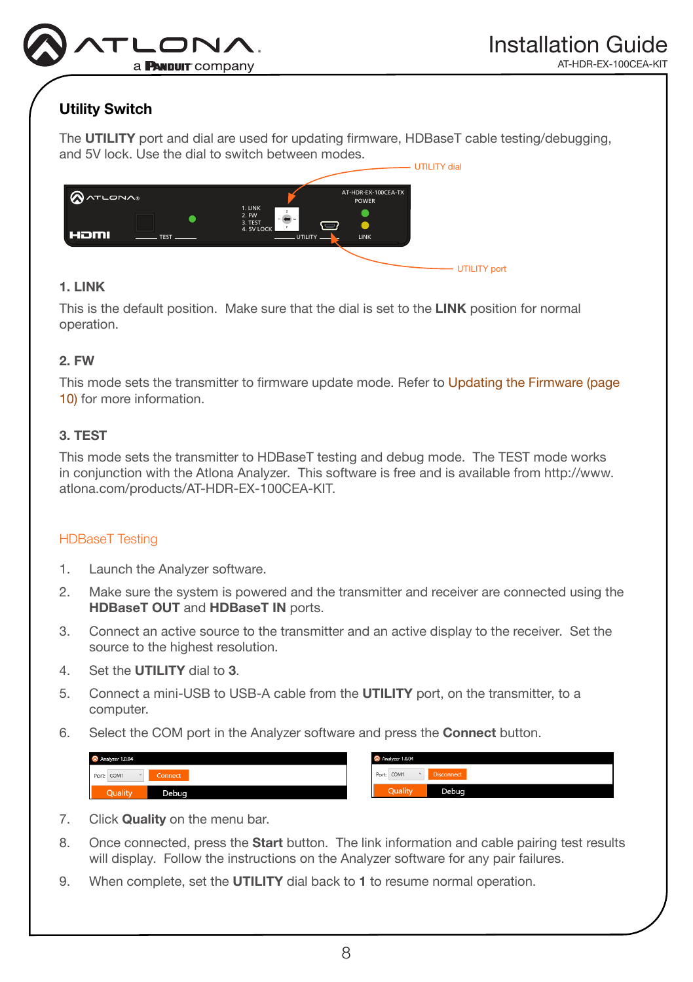

RX TX TX RX P HDBaseT IN HDMI OUT LAN

# <span id="page-7-0"></span>Utility Switch

The UTILITY port and dial are used for updating firmware, HDBaseT cable testing/debugging, and 5V lock. Use the dial to switch between modes.



#### 1. LINK  $\cdots$

This is the default position. Make sure that the dial is set to the LINK position for normal operation.

### 2. FW

This mode sets the transmitter to firmware update mode. Refer to Updating the Firmware (page [10\)](#page-9-0) for more information.

### 3. TEST

This mode sets the transmitter to HDBaseT testing and debug mode. The TEST mode works in conjunction with the Atlona Analyzer. This software is free and is available from http://www. atlona.com/products/AT-HDR-EX-100CEA-KIT.

### HDBaseT Testing

- 1. Launch the Analyzer software.
- 2. Make sure the system is powered and the transmitter and receiver are connected using the HDBaseT OUT and HDBaseT IN ports.
- 3. Connect an active source to the transmitter and an active display to the receiver. Set the source to the highest resolution.
- 4. Set the **UTILITY** dial to 3.
- 5. Connect a mini-USB to USB-A cable from the UTILITY port, on the transmitter, to a computer.
- 6. Select the COM port in the Analyzer software and press the Connect button.

| Analyzer 1.0.04                    | Analyzer 1.0.04                 |  |  |
|------------------------------------|---------------------------------|--|--|
| Port: COM1<br>Connect<br><b>Ad</b> | Port: COM1<br><b>Disconnect</b> |  |  |
| Quality<br>Debua                   | Quality<br>Debua                |  |  |

- 7. Click Quality on the menu bar.
- 8. Once connected, press the **Start** button. The link information and cable pairing test results will display. Follow the instructions on the Analyzer software for any pair failures.
- 9. When complete, set the UTILITY dial back to 1 to resume normal operation.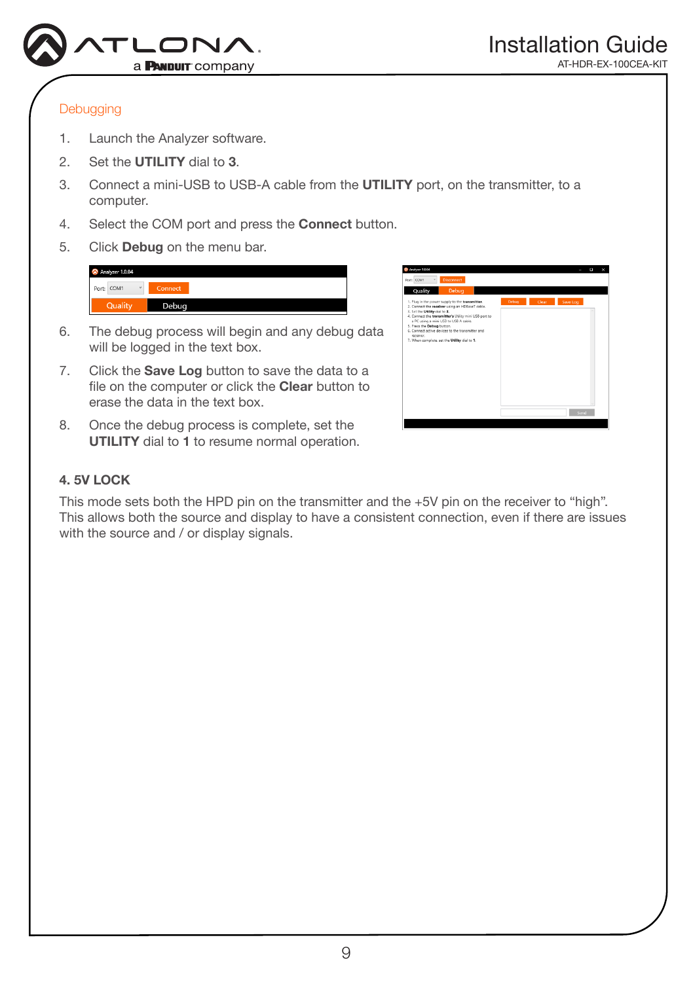

### **Debugging**

- 1. Launch the Analyzer software.
- 2. Set the **UTILITY** dial to 3.
- 3. Connect a mini-USB to USB-A cable from the UTILITY port, on the transmitter, to a computer.
- 4. Select the COM port and press the Connect button.
- 5. Click Debug on the menu bar.

- 6. The debug process will begin and any debug data will be logged in the text box.
- 7. Click the **Save Log** button to save the data to a file on the computer or click the Clear button to erase the data in the text box.
- 8. Once the debug process is complete, set the UTILITY dial to 1 to resume normal operation.

| <b>Disconnect</b><br>Port: COM1                                                                                                                                                                                                                                                                                                                                                      |       |       |          |  |
|--------------------------------------------------------------------------------------------------------------------------------------------------------------------------------------------------------------------------------------------------------------------------------------------------------------------------------------------------------------------------------------|-------|-------|----------|--|
| Debug<br>Quality                                                                                                                                                                                                                                                                                                                                                                     |       |       |          |  |
| 1. Plug in the power supply to the transmitter.<br>2. Connect the receiver using an HDBaseT cable.<br>3. Set the Utility dial to 3.<br>4. Connect the transmitter's Utility mini USB port to<br>a PC using a mini USB to USB A cable.<br>5. Press the Debug button.<br>6. Connect active devices to the transmitter and<br>receiver.<br>7. When complete, set the Utility dial to 1. | Debug | Clear | Save Log |  |
|                                                                                                                                                                                                                                                                                                                                                                                      |       |       | Sond     |  |

### 4. 5V LOCK

This mode sets both the HPD pin on the transmitter and the +5V pin on the receiver to "high". This allows both the source and display to have a consistent connection, even if there are issues with the source and / or display signals.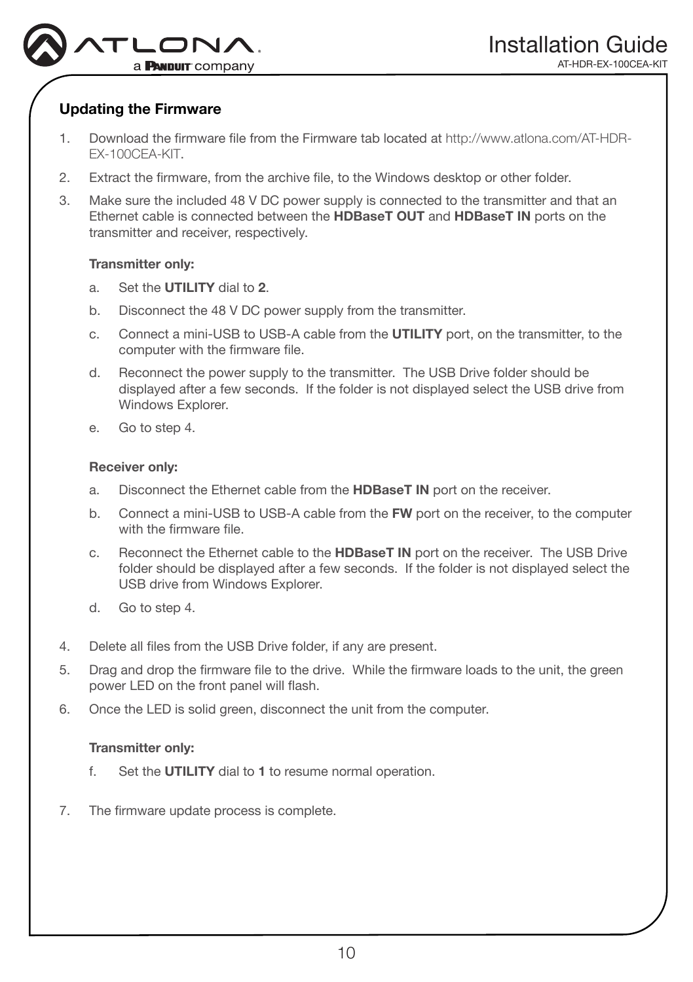

# <span id="page-9-0"></span>Updating the Firmware

- 1. Download the firmware file from the Firmware tab located at http://www.atlona.com/AT-HDR-EX-100CEA-KIT.
- 2. Extract the firmware, from the archive file, to the Windows desktop or other folder.
- 3. Make sure the included 48 V DC power supply is connected to the transmitter and that an Ethernet cable is connected between the HDBaseT OUT and HDBaseT IN ports on the transmitter and receiver, respectively.

### Transmitter only:

- a. Set the UTILITY dial to 2.
- b. Disconnect the 48 V DC power supply from the transmitter.
- c. Connect a mini-USB to USB-A cable from the UTILITY port, on the transmitter, to the computer with the firmware file.
- d. Reconnect the power supply to the transmitter. The USB Drive folder should be displayed after a few seconds. If the folder is not displayed select the USB drive from Windows Explorer.
- e. Go to step 4.

### Receiver only:

- a. Disconnect the Ethernet cable from the HDBaseT IN port on the receiver.
- b. Connect a mini-USB to USB-A cable from the FW port on the receiver, to the computer with the firmware file.
- c. Reconnect the Ethernet cable to the HDBaseT IN port on the receiver. The USB Drive folder should be displayed after a few seconds. If the folder is not displayed select the USB drive from Windows Explorer.
- d. Go to step 4.
- 4. Delete all files from the USB Drive folder, if any are present.
- 5. Drag and drop the firmware file to the drive. While the firmware loads to the unit, the green power LED on the front panel will flash.
- 6. Once the LED is solid green, disconnect the unit from the computer.

### Transmitter only:

- f. Set the UTILITY dial to 1 to resume normal operation.
- 7. The firmware update process is complete.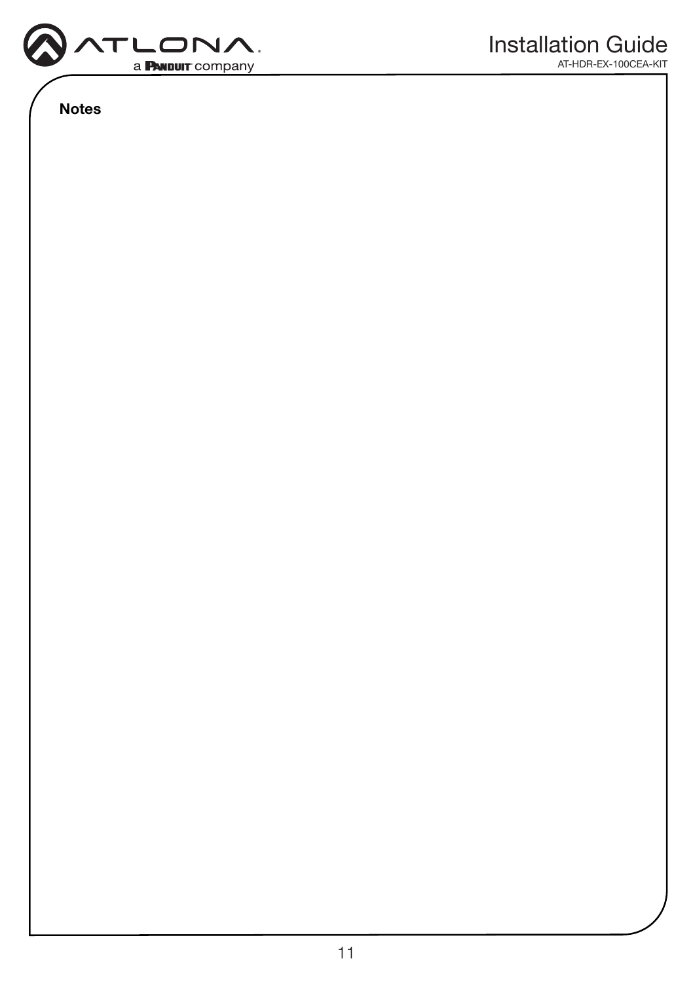

Notes

AT-HDR-EX-100CEA-KIT